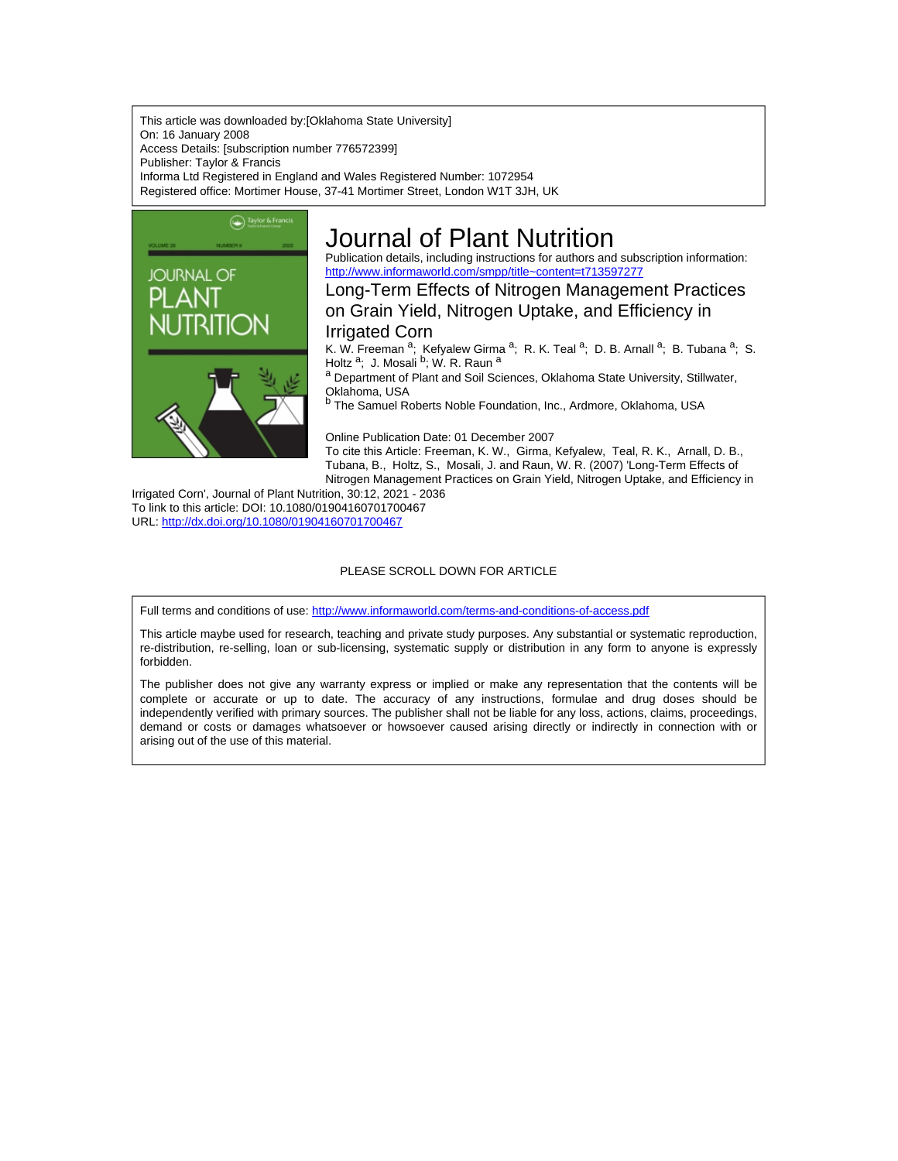This article was downloaded by:[Oklahoma State University] On: 16 January 2008 Access Details: [subscription number 776572399] Publisher: Taylor & Francis Informa Ltd Registered in England and Wales Registered Number: 1072954 Registered office: Mortimer House, 37-41 Mortimer Street, London W1T 3JH, UK



# Journal of Plant Nutrition

Publication details, including instructions for authors and subscription information: <http://www.informaworld.com/smpp/title~content=t713597277>

Long-Term Effects of Nitrogen Management Practices on Grain Yield, Nitrogen Uptake, and Efficiency in

# Irrigated Corn

K. W. Freeman <sup>a</sup>; Kefyalew Girma <sup>a</sup>; R. K. Teal <sup>a</sup>; D. B. Arnall <sup>a</sup>; B. Tubana <sup>a</sup>; S.<br>Holtz <sup>a</sup>; J. Mosali <sup>b</sup>; W. R. Raun <sup>a</sup>

a Department of Plant and Soil Sciences, Oklahoma State University, Stillwater, Oklahoma, USA

b The Samuel Roberts Noble Foundation, Inc., Ardmore, Oklahoma, USA

Online Publication Date: 01 December 2007 To cite this Article: Freeman, K. W., Girma, Kefyalew, Teal, R. K., Arnall, D. B., Tubana, B., Holtz, S., Mosali, J. and Raun, W. R. (2007) 'Long-Term Effects of Nitrogen Management Practices on Grain Yield, Nitrogen Uptake, and Efficiency in

Irrigated Corn', Journal of Plant Nutrition, 30:12, 2021 - 2036 To link to this article: DOI: 10.1080/01904160701700467 URL: <http://dx.doi.org/10.1080/01904160701700467>

# PLEASE SCROLL DOWN FOR ARTICLE

Full terms and conditions of use: <http://www.informaworld.com/terms-and-conditions-of-access.pdf>

This article maybe used for research, teaching and private study purposes. Any substantial or systematic reproduction, re-distribution, re-selling, loan or sub-licensing, systematic supply or distribution in any form to anyone is expressly forbidden.

The publisher does not give any warranty express or implied or make any representation that the contents will be complete or accurate or up to date. The accuracy of any instructions, formulae and drug doses should be independently verified with primary sources. The publisher shall not be liable for any loss, actions, claims, proceedings, demand or costs or damages whatsoever or howsoever caused arising directly or indirectly in connection with or arising out of the use of this material.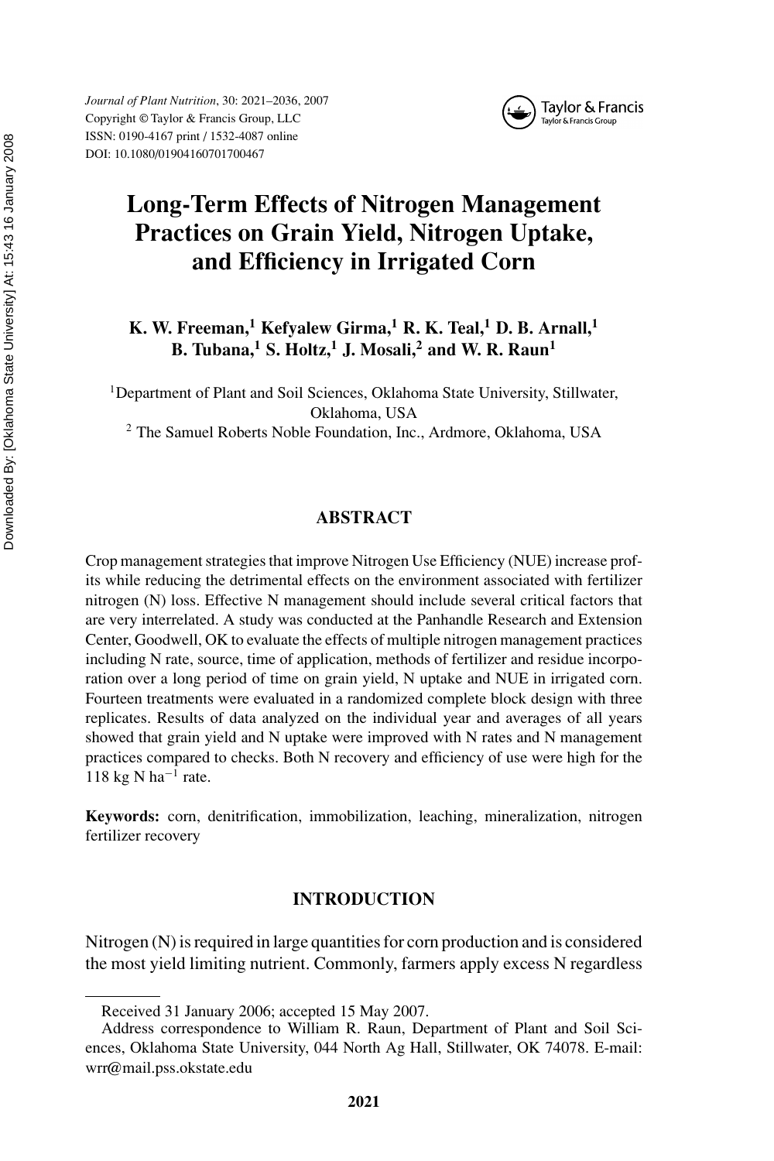

# **Long-Term Effects of Nitrogen Management Practices on Grain Yield, Nitrogen Uptake, and Efficiency in Irrigated Corn**

**K. W. Freeman,<sup>1</sup> Kefyalew Girma,<sup>1</sup> R. K. Teal,<sup>1</sup> D. B. Arnall,<sup>1</sup> B. Tubana,<sup>1</sup> S. Holtz,<sup>1</sup> J. Mosali,<sup>2</sup> and W. R. Raun<sup>1</sup>**

<sup>1</sup>Department of Plant and Soil Sciences, Oklahoma State University, Stillwater, Oklahoma, USA

<sup>2</sup> The Samuel Roberts Noble Foundation, Inc., Ardmore, Oklahoma, USA

# **ABSTRACT**

Crop management strategies that improve Nitrogen Use Efficiency (NUE) increase profits while reducing the detrimental effects on the environment associated with fertilizer nitrogen (N) loss. Effective N management should include several critical factors that are very interrelated. A study was conducted at the Panhandle Research and Extension Center, Goodwell, OK to evaluate the effects of multiple nitrogen management practices including N rate, source, time of application, methods of fertilizer and residue incorporation over a long period of time on grain yield, N uptake and NUE in irrigated corn. Fourteen treatments were evaluated in a randomized complete block design with three replicates. Results of data analyzed on the individual year and averages of all years showed that grain yield and N uptake were improved with N rates and N management practices compared to checks. Both N recovery and efficiency of use were high for the 118 kg N ha<sup>-1</sup> rate.

**Keywords:** corn, denitrification, immobilization, leaching, mineralization, nitrogen fertilizer recovery

# **INTRODUCTION**

Nitrogen (N) is required in large quantities for corn production and is considered the most yield limiting nutrient. Commonly, farmers apply excess N regardless

Received 31 January 2006; accepted 15 May 2007.

Address correspondence to William R. Raun, Department of Plant and Soil Sciences, Oklahoma State University, 044 North Ag Hall, Stillwater, OK 74078. E-mail: wrr@mail.pss.okstate.edu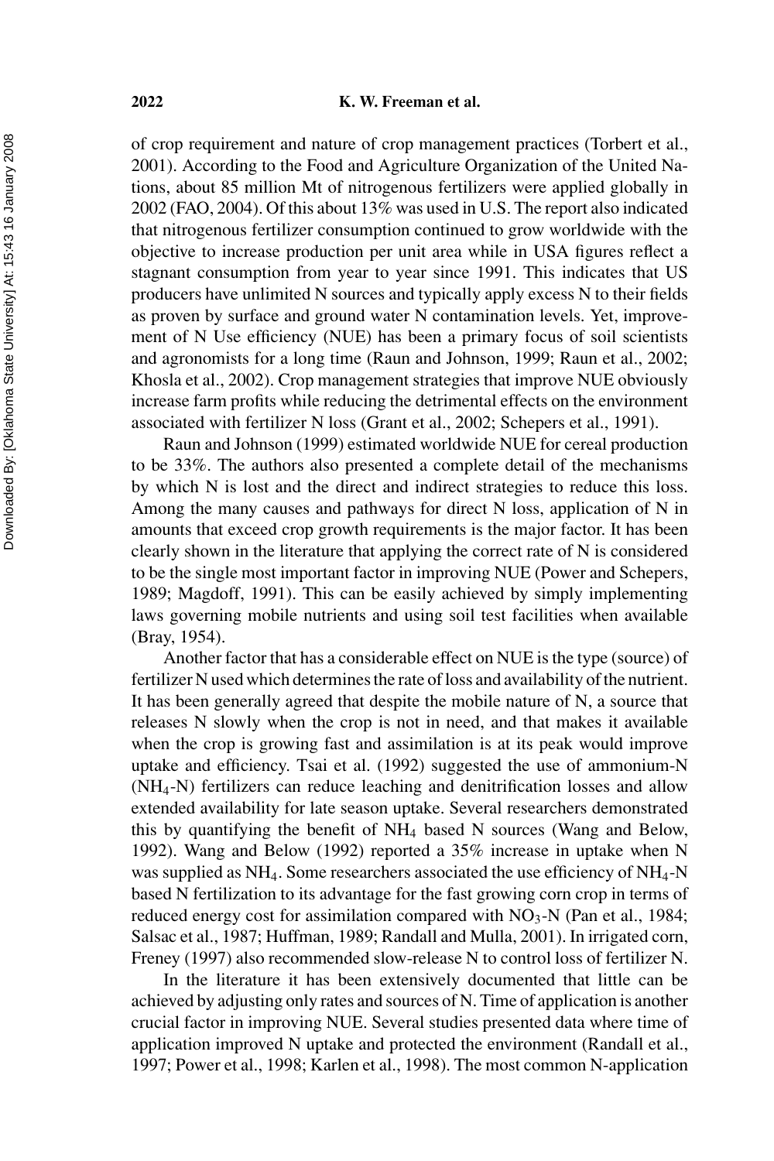of crop requirement and nature of crop management practices (Torbert et al., 2001). According to the Food and Agriculture Organization of the United Nations, about 85 million Mt of nitrogenous fertilizers were applied globally in 2002 (FAO, 2004). Of this about 13% was used in U.S. The report also indicated that nitrogenous fertilizer consumption continued to grow worldwide with the objective to increase production per unit area while in USA figures reflect a stagnant consumption from year to year since 1991. This indicates that US producers have unlimited N sources and typically apply excess N to their fields as proven by surface and ground water N contamination levels. Yet, improvement of N Use efficiency (NUE) has been a primary focus of soil scientists and agronomists for a long time (Raun and Johnson, 1999; Raun et al., 2002; Khosla et al., 2002). Crop management strategies that improve NUE obviously increase farm profits while reducing the detrimental effects on the environment associated with fertilizer N loss (Grant et al., 2002; Schepers et al., 1991).

Raun and Johnson (1999) estimated worldwide NUE for cereal production to be 33%. The authors also presented a complete detail of the mechanisms by which N is lost and the direct and indirect strategies to reduce this loss. Among the many causes and pathways for direct N loss, application of N in amounts that exceed crop growth requirements is the major factor. It has been clearly shown in the literature that applying the correct rate of N is considered to be the single most important factor in improving NUE (Power and Schepers, 1989; Magdoff, 1991). This can be easily achieved by simply implementing laws governing mobile nutrients and using soil test facilities when available (Bray, 1954).

Another factor that has a considerable effect on NUE is the type (source) of fertilizer N used which determines the rate of loss and availability of the nutrient. It has been generally agreed that despite the mobile nature of N, a source that releases N slowly when the crop is not in need, and that makes it available when the crop is growing fast and assimilation is at its peak would improve uptake and efficiency. Tsai et al. (1992) suggested the use of ammonium-N (NH4-N) fertilizers can reduce leaching and denitrification losses and allow extended availability for late season uptake. Several researchers demonstrated this by quantifying the benefit of  $NH<sub>4</sub>$  based N sources (Wang and Below, 1992). Wang and Below (1992) reported a 35% increase in uptake when N was supplied as  $NH_4$ . Some researchers associated the use efficiency of  $NH_4$ -N based N fertilization to its advantage for the fast growing corn crop in terms of reduced energy cost for assimilation compared with  $NO<sub>3</sub>-N$  (Pan et al., 1984; Salsac et al., 1987; Huffman, 1989; Randall and Mulla, 2001). In irrigated corn, Freney (1997) also recommended slow-release N to control loss of fertilizer N.

In the literature it has been extensively documented that little can be achieved by adjusting only rates and sources of N. Time of application is another crucial factor in improving NUE. Several studies presented data where time of application improved N uptake and protected the environment (Randall et al., 1997; Power et al., 1998; Karlen et al., 1998). The most common N-application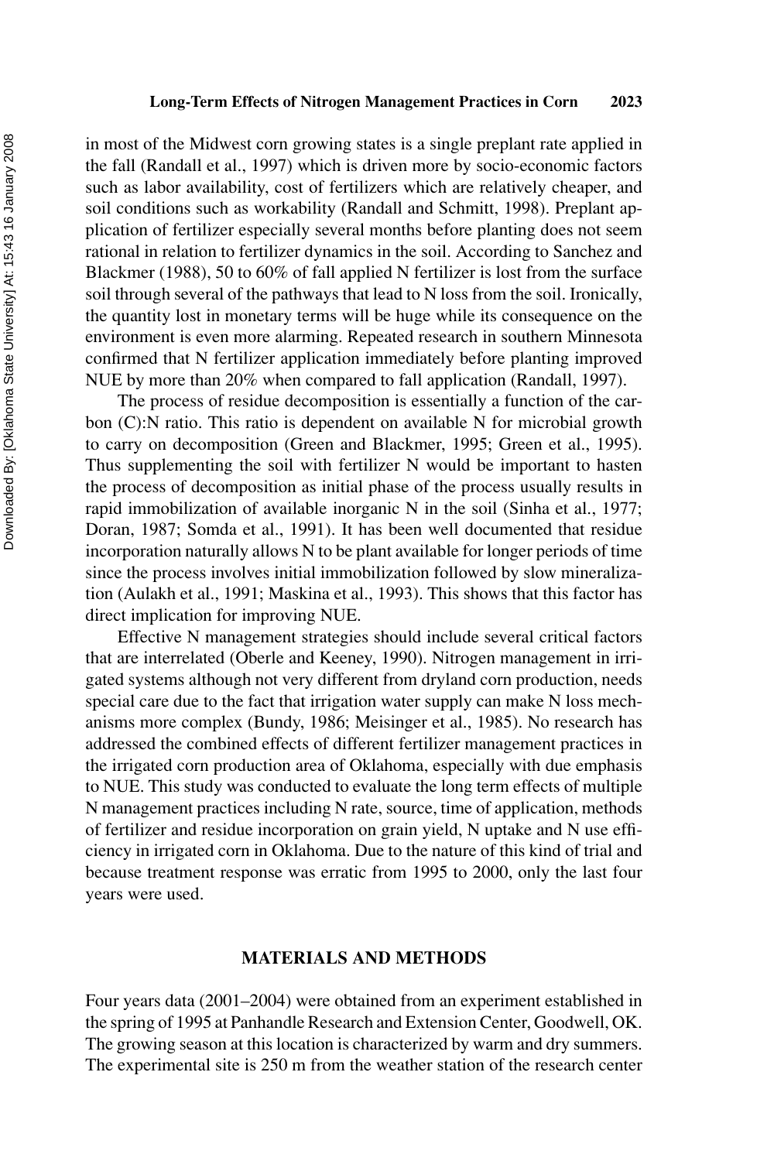in most of the Midwest corn growing states is a single preplant rate applied in the fall (Randall et al., 1997) which is driven more by socio-economic factors such as labor availability, cost of fertilizers which are relatively cheaper, and soil conditions such as workability (Randall and Schmitt, 1998). Preplant application of fertilizer especially several months before planting does not seem rational in relation to fertilizer dynamics in the soil. According to Sanchez and Blackmer (1988), 50 to 60% of fall applied N fertilizer is lost from the surface soil through several of the pathways that lead to N loss from the soil. Ironically, the quantity lost in monetary terms will be huge while its consequence on the environment is even more alarming. Repeated research in southern Minnesota confirmed that N fertilizer application immediately before planting improved NUE by more than 20% when compared to fall application (Randall, 1997).

The process of residue decomposition is essentially a function of the carbon (C):N ratio. This ratio is dependent on available N for microbial growth to carry on decomposition (Green and Blackmer, 1995; Green et al., 1995). Thus supplementing the soil with fertilizer N would be important to hasten the process of decomposition as initial phase of the process usually results in rapid immobilization of available inorganic N in the soil (Sinha et al., 1977; Doran, 1987; Somda et al., 1991). It has been well documented that residue incorporation naturally allows N to be plant available for longer periods of time since the process involves initial immobilization followed by slow mineralization (Aulakh et al., 1991; Maskina et al., 1993). This shows that this factor has direct implication for improving NUE.

Effective N management strategies should include several critical factors that are interrelated (Oberle and Keeney, 1990). Nitrogen management in irrigated systems although not very different from dryland corn production, needs special care due to the fact that irrigation water supply can make N loss mechanisms more complex (Bundy, 1986; Meisinger et al., 1985). No research has addressed the combined effects of different fertilizer management practices in the irrigated corn production area of Oklahoma, especially with due emphasis to NUE. This study was conducted to evaluate the long term effects of multiple N management practices including N rate, source, time of application, methods of fertilizer and residue incorporation on grain yield, N uptake and N use efficiency in irrigated corn in Oklahoma. Due to the nature of this kind of trial and because treatment response was erratic from 1995 to 2000, only the last four years were used.

### **MATERIALS AND METHODS**

Four years data (2001–2004) were obtained from an experiment established in the spring of 1995 at Panhandle Research and Extension Center, Goodwell, OK. The growing season at this location is characterized by warm and dry summers. The experimental site is 250 m from the weather station of the research center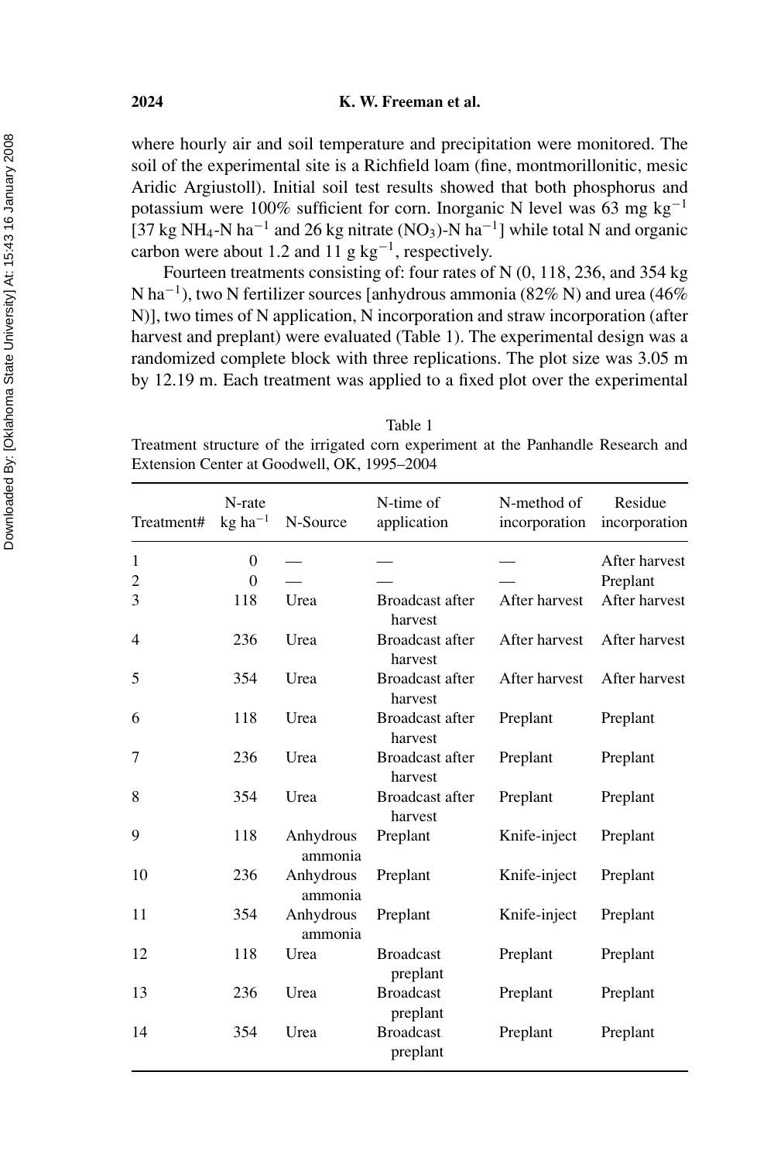where hourly air and soil temperature and precipitation were monitored. The soil of the experimental site is a Richfield loam (fine, montmorillonitic, mesic Aridic Argiustoll). Initial soil test results showed that both phosphorus and potassium were 100% sufficient for corn. Inorganic N level was 63 mg kg<sup>-1</sup> [37 kg NH<sub>4</sub>-N ha<sup>-1</sup> and 26 kg nitrate (NO<sub>3</sub>)-N ha<sup>-1</sup>] while total N and organic carbon were about 1.2 and 11 g  $kg^{-1}$ , respectively.

Fourteen treatments consisting of: four rates of N (0, 118, 236, and 354 kg N ha<sup>-1</sup>), two N fertilizer sources [anhydrous ammonia (82% N) and urea (46% N)], two times of N application, N incorporation and straw incorporation (after harvest and preplant) were evaluated (Table 1). The experimental design was a randomized complete block with three replications. The plot size was 3.05 m by 12.19 m. Each treatment was applied to a fixed plot over the experimental

Table 1

Treatment structure of the irrigated corn experiment at the Panhandle Research and Extension Center at Goodwell, OK, 1995–2004

| Treatment#     | N-rate<br>$kg$ ha <sup>-1</sup> | N-Source             | N-time of<br>application          | N-method of<br>incorporation | Residue<br>incorporation |
|----------------|---------------------------------|----------------------|-----------------------------------|------------------------------|--------------------------|
| 1              | $\theta$                        |                      |                                   |                              | After harvest            |
| $\overline{c}$ | $\theta$                        |                      |                                   |                              | Preplant                 |
| 3              | 118                             | Urea                 | Broadcast after<br>harvest        | After harvest                | After harvest            |
| 4              | 236                             | Urea                 | <b>Broadcast after</b><br>harvest | After harvest                | After harvest            |
| 5              | 354                             | Urea                 | <b>Broadcast after</b><br>harvest | After harvest                | After harvest            |
| 6              | 118                             | Urea                 | <b>Broadcast after</b><br>harvest | Preplant                     | Preplant                 |
| 7              | 236                             | Urea                 | <b>Broadcast after</b><br>harvest | Preplant                     | Preplant                 |
| 8              | 354                             | Urea                 | <b>Broadcast after</b><br>harvest | Preplant                     | Preplant                 |
| 9              | 118                             | Anhydrous<br>ammonia | Preplant                          | Knife-inject                 | Preplant                 |
| 10             | 236                             | Anhydrous<br>ammonia | Preplant                          | Knife-inject                 | Preplant                 |
| 11             | 354                             | Anhydrous<br>ammonia | Preplant                          | Knife-inject                 | Preplant                 |
| 12             | 118                             | Urea                 | <b>Broadcast</b><br>preplant      | Preplant                     | Preplant                 |
| 13             | 236                             | Urea                 | <b>Broadcast</b><br>preplant      | Preplant                     | Preplant                 |
| 14             | 354                             | Urea                 | <b>Broadcast</b><br>preplant      | Preplant                     | Preplant                 |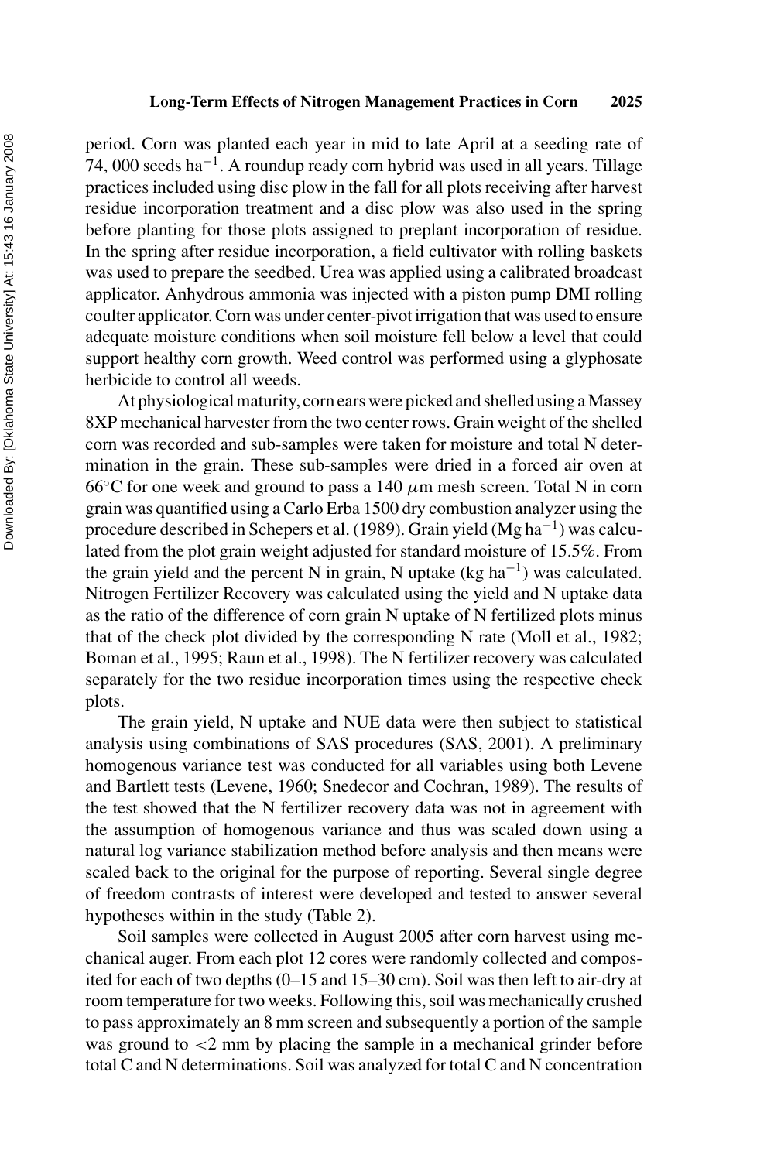period. Corn was planted each year in mid to late April at a seeding rate of 74, 000 seeds ha<sup>-1</sup>. A roundup ready corn hybrid was used in all years. Tillage practices included using disc plow in the fall for all plots receiving after harvest residue incorporation treatment and a disc plow was also used in the spring before planting for those plots assigned to preplant incorporation of residue. In the spring after residue incorporation, a field cultivator with rolling baskets was used to prepare the seedbed. Urea was applied using a calibrated broadcast applicator. Anhydrous ammonia was injected with a piston pump DMI rolling coulter applicator. Corn was under center-pivot irrigation that was used to ensure adequate moisture conditions when soil moisture fell below a level that could support healthy corn growth. Weed control was performed using a glyphosate herbicide to control all weeds.

At physiological maturity, corn ears were picked and shelled using a Massey 8XP mechanical harvester from the two center rows. Grain weight of the shelled corn was recorded and sub-samples were taken for moisture and total N determination in the grain. These sub-samples were dried in a forced air oven at 66 $\degree$ C for one week and ground to pass a 140  $\mu$ m mesh screen. Total N in corn grain was quantified using a Carlo Erba 1500 dry combustion analyzer using the procedure described in Schepers et al. (1989). Grain yield (Mg ha−1) was calculated from the plot grain weight adjusted for standard moisture of 15.5%. From the grain yield and the percent N in grain, N uptake (kg ha<sup>-1</sup>) was calculated. Nitrogen Fertilizer Recovery was calculated using the yield and N uptake data as the ratio of the difference of corn grain N uptake of N fertilized plots minus that of the check plot divided by the corresponding N rate (Moll et al., 1982; Boman et al., 1995; Raun et al., 1998). The N fertilizer recovery was calculated separately for the two residue incorporation times using the respective check plots.

The grain yield, N uptake and NUE data were then subject to statistical analysis using combinations of SAS procedures (SAS, 2001). A preliminary homogenous variance test was conducted for all variables using both Levene and Bartlett tests (Levene, 1960; Snedecor and Cochran, 1989). The results of the test showed that the N fertilizer recovery data was not in agreement with the assumption of homogenous variance and thus was scaled down using a natural log variance stabilization method before analysis and then means were scaled back to the original for the purpose of reporting. Several single degree of freedom contrasts of interest were developed and tested to answer several hypotheses within in the study (Table 2).

Soil samples were collected in August 2005 after corn harvest using mechanical auger. From each plot 12 cores were randomly collected and composited for each of two depths (0–15 and 15–30 cm). Soil was then left to air-dry at room temperature for two weeks. Following this, soil was mechanically crushed to pass approximately an 8 mm screen and subsequently a portion of the sample was ground to  $\langle 2 \rangle$  mm by placing the sample in a mechanical grinder before total C and N determinations. Soil was analyzed for total C and N concentration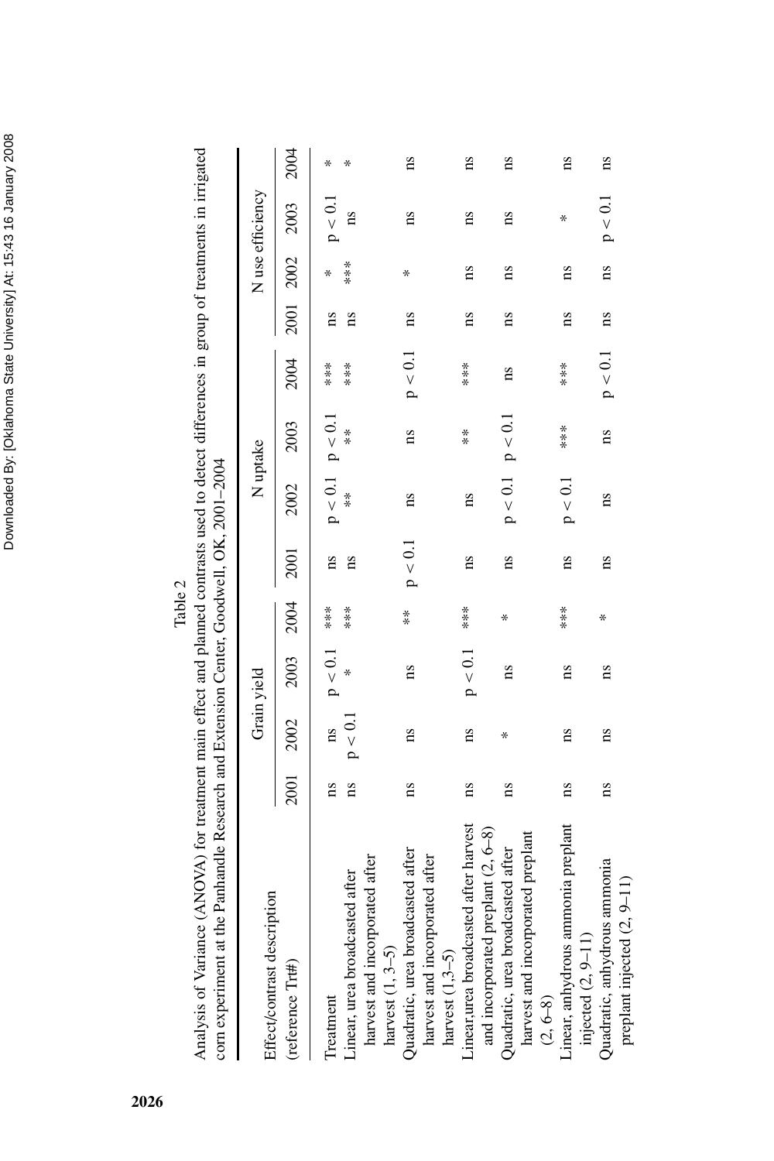Downloaded By: [Oklahoma State University] At: 15:43 16 January 2008 Downloaded By: [Oklahoma State University] At: 15:43 16 January 2008

Table 2

Analysis of Variance (ANOVA) for treatment main effect and planned contrasts used to detect differences in group of treatments in irrigated Analysis of Variance (ANOVA) for treatment main effect and planned contrasts used to detect differences in group of treatments in irrigated com experiment at the Panhandle Research and Extension Center, Goodwell, OK, 2001-2004 corn experiment at the Panhandle Research and Extension Center, Goodwell, OK, 2001–2004

| Effect/contrast description            |                        |                        | Grain yield        |           |                        | N uptake                |                         |           |             |                        | N use efficiency |      |
|----------------------------------------|------------------------|------------------------|--------------------|-----------|------------------------|-------------------------|-------------------------|-----------|-------------|------------------------|------------------|------|
| (reference Trt#)                       | 2001                   | 2002                   | 2003 2004          |           | 2001                   | 2002                    | 2003                    | 2004      |             |                        | 2001 2002 2003   | 2004 |
| Treatment                              | ms                     |                        | $ns$ $p < 0.1$ *** |           |                        | $p < 0.1$ $p < 0.1$     |                         | $***$     | ns          |                        | $\rm p < 0.1$    | ¥    |
| Linear, urea broadcasted after         |                        | $ps$ $p < 0.1$         |                    | $* * * *$ | ns                     | $*$                     | $*$                     | ****      | $_{\rm ns}$ | $* * * *$              | ns               |      |
| harvest and incorporated after         |                        |                        |                    |           |                        |                         |                         |           |             |                        |                  |      |
| harvest $(1, 3-5)$                     |                        |                        |                    |           |                        |                         |                         |           |             |                        |                  |      |
| Quadratic, urea broadcasted after      | $\overline{\text{ns}}$ | $_{\rm ns}$            | $_{\rm ns}$        | **        | p < 0.1                | $\overline{\mathbf{n}}$ | $\overline{\mathbf{a}}$ | p < 0.1   | $_{\rm ns}$ | Х                      | 11S              | ns   |
| harvest and incorporated after         |                        |                        |                    |           |                        |                         |                         |           |             |                        |                  |      |
| harvest $(1,3-5)$                      |                        |                        |                    |           |                        |                         |                         |           |             |                        |                  |      |
| Linear, urea broadcasted after harvest | $_{\rm ns}$            | $\overline{\text{ns}}$ | p < 0.1            | ****      | $_{\rm ns}$            | 11S                     | $\overset{*}{*}$        | $****$    | ns          | $_{\rm ns}$            | 11S              | 11S  |
| and incorporated preplant $(2, 6-8)$   |                        |                        |                    |           |                        |                         |                         |           |             |                        |                  |      |
| Quadratic, urea broadcasted after      | $\overline{\text{ns}}$ | X                      | ns                 | Χ         | $_{\rm ns}$            | $p < 0.1$ $p < 0.1$     |                         | ns        | $_{\rm ns}$ | ns                     | 11S              | ns   |
| harvest and incorporated preplant      |                        |                        |                    |           |                        |                         |                         |           |             |                        |                  |      |
| $(2, 6-8)$                             |                        |                        |                    |           |                        |                         |                         |           |             |                        |                  |      |
| Linear, anhydrous ammonia preplant     | 11S                    | $\overline{\text{ns}}$ | 11S                |           | $\overline{\text{ns}}$ | p < 0.1                 | $*$<br>$*$              | ***       | $_{\rm ns}$ | $\overline{\text{ns}}$ | ∗                | 1S   |
| injected $(2, 9-11)$                   |                        |                        |                    |           |                        |                         |                         |           |             |                        |                  |      |
| Quadratic, anhydrous ammonia           | $\overline{\text{ns}}$ | ns                     | $_{\rm ns}$        | ∗         | ns                     | $_{\rm ns}$             | $_{\rm ns}$             | $p < 0.1$ | $_{\rm ns}$ | $_{\rm ns}$            | $\rm p < 0.1$    | ns   |
| preplant injected (2, 9-11)            |                        |                        |                    |           |                        |                         |                         |           |             |                        |                  |      |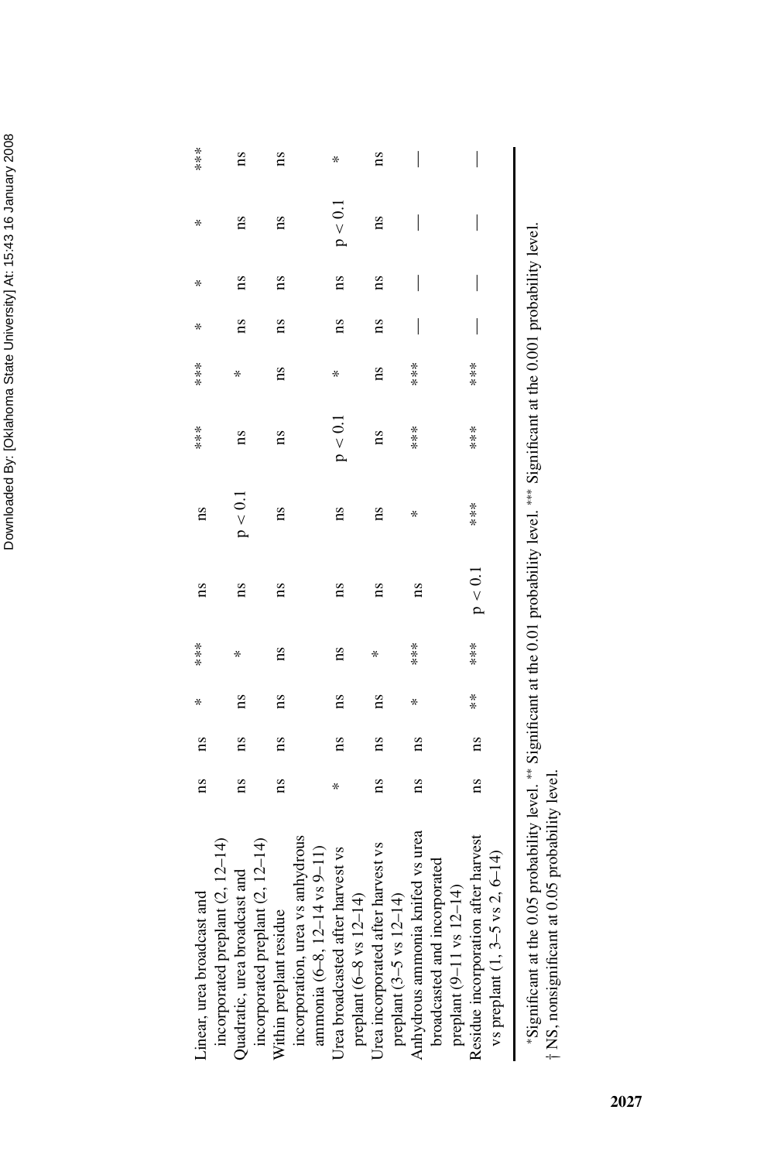| Linear, urea broadcast and                                                                                                               | $_{ns}$                | ns                      | ×                      | $* * * *$              | 1S      | ns      | $* * * *$              | $* * * *$               | ×                        | ∗                        | $\ast$                   | ****                                  |
|------------------------------------------------------------------------------------------------------------------------------------------|------------------------|-------------------------|------------------------|------------------------|---------|---------|------------------------|-------------------------|--------------------------|--------------------------|--------------------------|---------------------------------------|
| incorporated preplant (2, 12-14)<br>Quadratic, urea broadcast and                                                                        | 11S                    | <b>ns</b>               | $\overline{\text{ns}}$ |                        | ms      | p < 0.1 | ns                     | ∗                       | ns                       | ns                       | ns                       | 11S                                   |
| incorporated preplant (2, 12-14)<br>Within preplant residue                                                                              | ns                     | $\overline{\mathbf{n}}$ | $\overline{\text{ns}}$ | $\overline{\text{ns}}$ | ΩS      | ms      | $\overline{\text{ns}}$ | $\overline{\mathbf{n}}$ | ns                       | $\overline{\text{ns}}$   | $\overline{\text{ns}}$   | $\overline{\text{ns}}$                |
| incorporation, urea vs anhydrous                                                                                                         |                        |                         |                        |                        |         |         |                        |                         |                          |                          |                          |                                       |
| ammonia (6–8, 12–14 vs 9–11)                                                                                                             |                        |                         |                        |                        |         |         |                        |                         |                          |                          |                          |                                       |
| Urea broadcasted after harvest vs                                                                                                        |                        | ns                      | $\overline{\text{ns}}$ | ns                     | ns      | ns      | p < 0.1                | Х                       | $\overline{\text{ns}}$   | $_{\rm ns}$              | $p<0.1$                  | ∗                                     |
| preplant (6-8 vs 12-14)                                                                                                                  |                        |                         |                        |                        |         |         |                        |                         |                          |                          |                          |                                       |
| Urea incorporated after harvest vs                                                                                                       | $\overline{\text{ns}}$ | $_{ns}$                 | $_{ns}$                | ×                      | 1S      | ns      | ns                     | $_{ns}$                 | $n_{\rm s}$              | $_{ns}$                  | 11S                      | 11S                                   |
| preplant $(3-5 \text{ vs } 12-14)$                                                                                                       |                        |                         |                        |                        |         |         |                        |                         |                          |                          |                          |                                       |
| Anhydrous ammonia knifed vs urea                                                                                                         | $\overline{\text{ns}}$ | $\overline{\text{ns}}$  | ×                      | ***                    | ns      | ∗       | $***$                  | ***                     | $\overline{\phantom{a}}$ | $\overline{\phantom{a}}$ | $\overline{\phantom{a}}$ | $\begin{array}{c} \hline \end{array}$ |
| broadcasted and incorporated                                                                                                             |                        |                         |                        |                        |         |         |                        |                         |                          |                          |                          |                                       |
| preplant $(9-11 \text{ vs } 12-14)$                                                                                                      |                        |                         |                        |                        |         |         |                        |                         |                          |                          |                          |                                       |
| Residue incorporation after harvest                                                                                                      | $_{ns}$                | $\overline{\text{ns}}$  | $\frac{*}{*}$          |                        | p < 0.1 | $* * *$ |                        | ****                    |                          |                          | I                        |                                       |
| vs preplant $(1, 3-5 \text{ vs } 2, 6-14)$                                                                                               |                        |                         |                        |                        |         |         |                        |                         |                          |                          |                          |                                       |
| "Significant at the 0.05 probability level. "" Significant at the 0.01 probability level. """ Significant at the 0.001 probability level |                        |                         |                        |                        |         |         |                        |                         |                          |                          |                          |                                       |

ż. ∗Significant at the 0.05 probability level. ∗∗ Significant at the 0.01 probability level. ∗∗∗ Significant at the 0.001 probability level.  $\frac{1}{2}$ i, d<br>Z i ì Ņ i, à orgunoan a ure o.o.o proponully revel.<br>† NS, nonsignificant at 0.05 probability level. NS, nonsignificant at 0.05 probability level.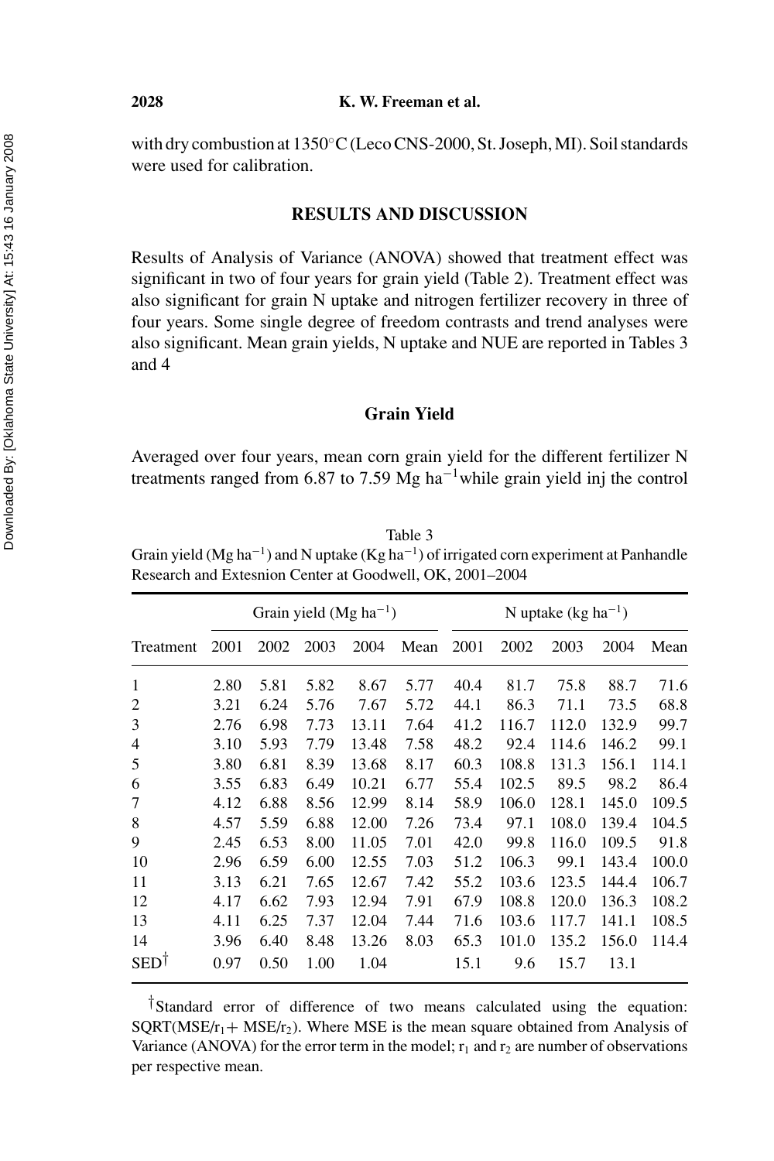#### **2028 K. W. Freeman et al.**

with dry combustion at 1350◦C(Leco CNS-2000, St. Joseph, MI). Soil standards were used for calibration.

# **RESULTS AND DISCUSSION**

Results of Analysis of Variance (ANOVA) showed that treatment effect was significant in two of four years for grain yield (Table 2). Treatment effect was also significant for grain N uptake and nitrogen fertilizer recovery in three of four years. Some single degree of freedom contrasts and trend analyses were also significant. Mean grain yields, N uptake and NUE are reported in Tables 3 and 4

### **Grain Yield**

Averaged over four years, mean corn grain yield for the different fertilizer N treatments ranged from 6.87 to 7.59 Mg ha−1while grain yield inj the control

Table 3 Grain yield (Mg ha<sup>-1</sup>) and N uptake (Kg ha<sup>-1</sup>) of irrigated corn experiment at Panhandle Research and Extesnion Center at Goodwell, OK, 2001–2004

|            |      |      |      | Grain yield (Mg $ha^{-1}$ ) |      |      |       | N uptake $(kg ha^{-1})$ |       |       |
|------------|------|------|------|-----------------------------|------|------|-------|-------------------------|-------|-------|
| Treatment  | 2001 | 2002 | 2003 | 2004                        | Mean | 2001 | 2002  | 2003                    | 2004  | Mean  |
| 1          | 2.80 | 5.81 | 5.82 | 8.67                        | 5.77 | 40.4 | 81.7  | 75.8                    | 88.7  | 71.6  |
| 2          | 3.21 | 6.24 | 5.76 | 7.67                        | 5.72 | 44.1 | 86.3  | 71.1                    | 73.5  | 68.8  |
| 3          | 2.76 | 6.98 | 7.73 | 13.11                       | 7.64 | 41.2 | 116.7 | 112.0                   | 132.9 | 99.7  |
| 4          | 3.10 | 5.93 | 7.79 | 13.48                       | 7.58 | 48.2 | 92.4  | 114.6                   | 146.2 | 99.1  |
| 5          | 3.80 | 6.81 | 8.39 | 13.68                       | 8.17 | 60.3 | 108.8 | 131.3                   | 156.1 | 114.1 |
| 6          | 3.55 | 6.83 | 6.49 | 10.21                       | 6.77 | 55.4 | 102.5 | 89.5                    | 98.2  | 86.4  |
| 7          | 4.12 | 6.88 | 8.56 | 12.99                       | 8.14 | 58.9 | 106.0 | 128.1                   | 145.0 | 109.5 |
| 8          | 4.57 | 5.59 | 6.88 | 12.00                       | 7.26 | 73.4 | 97.1  | 108.0                   | 139.4 | 104.5 |
| 9          | 2.45 | 6.53 | 8.00 | 11.05                       | 7.01 | 42.0 | 99.8  | 116.0                   | 109.5 | 91.8  |
| 10         | 2.96 | 6.59 | 6.00 | 12.55                       | 7.03 | 51.2 | 106.3 | 99.1                    | 143.4 | 100.0 |
| 11         | 3.13 | 6.21 | 7.65 | 12.67                       | 7.42 | 55.2 | 103.6 | 123.5                   | 144.4 | 106.7 |
| 12         | 4.17 | 6.62 | 7.93 | 12.94                       | 7.91 | 67.9 | 108.8 | 120.0                   | 136.3 | 108.2 |
| 13         | 4.11 | 6.25 | 7.37 | 12.04                       | 7.44 | 71.6 | 103.6 | 117.7                   | 141.1 | 108.5 |
| 14         | 3.96 | 6.40 | 8.48 | 13.26                       | 8.03 | 65.3 | 101.0 | 135.2                   | 156.0 | 114.4 |
| <b>SED</b> | 0.97 | 0.50 | 1.00 | 1.04                        |      | 15.1 | 9.6   | 15.7                    | 13.1  |       |

†Standard error of difference of two means calculated using the equation: SQRT(MSE/ $r_1$ + MSE/ $r_2$ ). Where MSE is the mean square obtained from Analysis of Variance (ANOVA) for the error term in the model;  $r_1$  and  $r_2$  are number of observations per respective mean.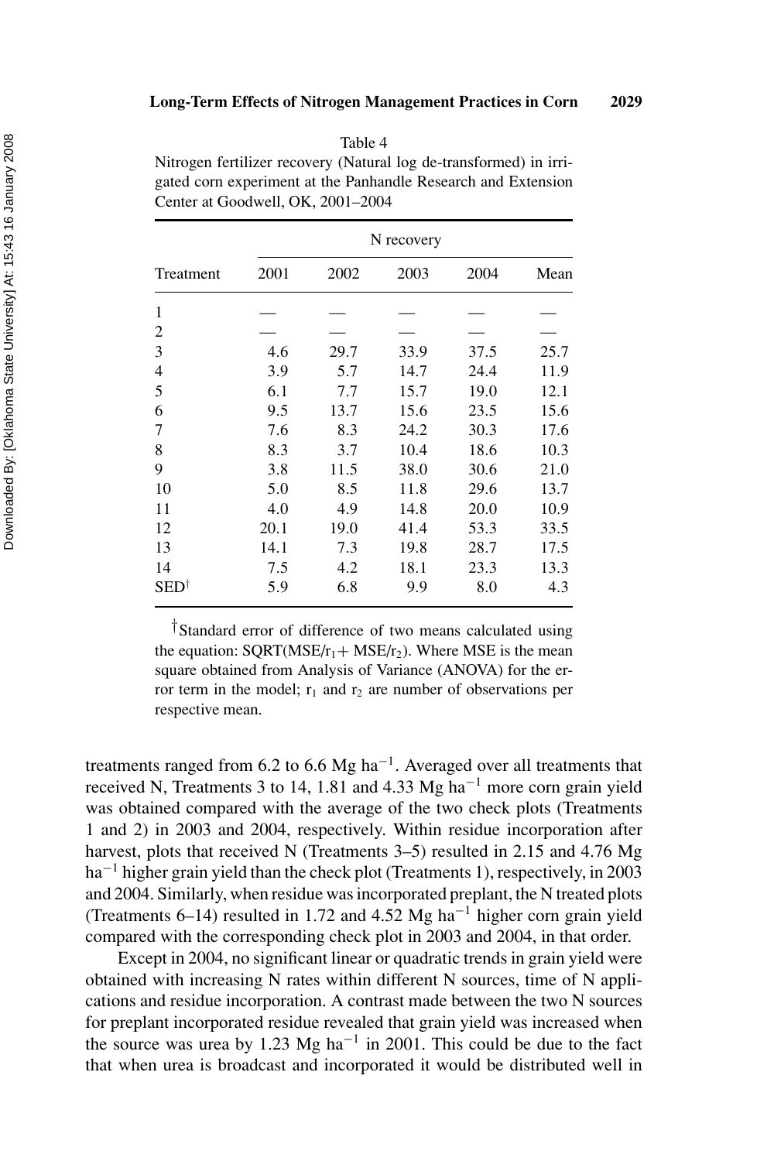| v.<br>۰,<br>× |
|---------------|
|---------------|

Nitrogen fertilizer recovery (Natural log de-transformed) in irrigated corn experiment at the Panhandle Research and Extension Center at Goodwell, OK, 2001–2004

|                        |      |      | N recovery |      |      |
|------------------------|------|------|------------|------|------|
| Treatment              | 2001 | 2002 | 2003       | 2004 | Mean |
| 1                      |      |      |            |      |      |
| 2                      |      |      |            |      |      |
| 3                      | 4.6  | 29.7 | 33.9       | 37.5 | 25.7 |
| 4                      | 3.9  | 5.7  | 14.7       | 24.4 | 11.9 |
| 5                      | 6.1  | 7.7  | 15.7       | 19.0 | 12.1 |
| 6                      | 9.5  | 13.7 | 15.6       | 23.5 | 15.6 |
| 7                      | 7.6  | 8.3  | 24.2       | 30.3 | 17.6 |
| 8                      | 8.3  | 3.7  | 10.4       | 18.6 | 10.3 |
| 9                      | 3.8  | 11.5 | 38.0       | 30.6 | 21.0 |
| 10                     | 5.0  | 8.5  | 11.8       | 29.6 | 13.7 |
| 11                     | 4.0  | 4.9  | 14.8       | 20.0 | 10.9 |
| 12                     | 20.1 | 19.0 | 41.4       | 53.3 | 33.5 |
| 13                     | 14.1 | 7.3  | 19.8       | 28.7 | 17.5 |
| 14                     | 7.5  | 4.2  | 18.1       | 23.3 | 13.3 |
| $\mathrm{SED}^\dagger$ | 5.9  | 6.8  | 9.9        | 8.0  | 4.3  |

†Standard error of difference of two means calculated using the equation:  $SORT(MSE/r_1 + MSE/r_2)$ . Where MSE is the mean square obtained from Analysis of Variance (ANOVA) for the error term in the model;  $r_1$  and  $r_2$  are number of observations per respective mean.

treatments ranged from 6.2 to 6.6 Mg ha<sup>-1</sup>. Averaged over all treatments that received N, Treatments 3 to 14, 1.81 and 4.33 Mg ha<sup> $-1$ </sup> more corn grain yield was obtained compared with the average of the two check plots (Treatments 1 and 2) in 2003 and 2004, respectively. Within residue incorporation after harvest, plots that received N (Treatments 3–5) resulted in 2.15 and 4.76 Mg ha<sup>-1</sup> higher grain yield than the check plot (Treatments 1), respectively, in 2003 and 2004. Similarly, when residue was incorporated preplant, the N treated plots (Treatments 6–14) resulted in 1.72 and 4.52 Mg ha<sup>-1</sup> higher corn grain yield compared with the corresponding check plot in 2003 and 2004, in that order.

Except in 2004, no significant linear or quadratic trends in grain yield were obtained with increasing N rates within different N sources, time of N applications and residue incorporation. A contrast made between the two N sources for preplant incorporated residue revealed that grain yield was increased when the source was urea by 1.23 Mg ha<sup> $-1$ </sup> in 2001. This could be due to the fact that when urea is broadcast and incorporated it would be distributed well in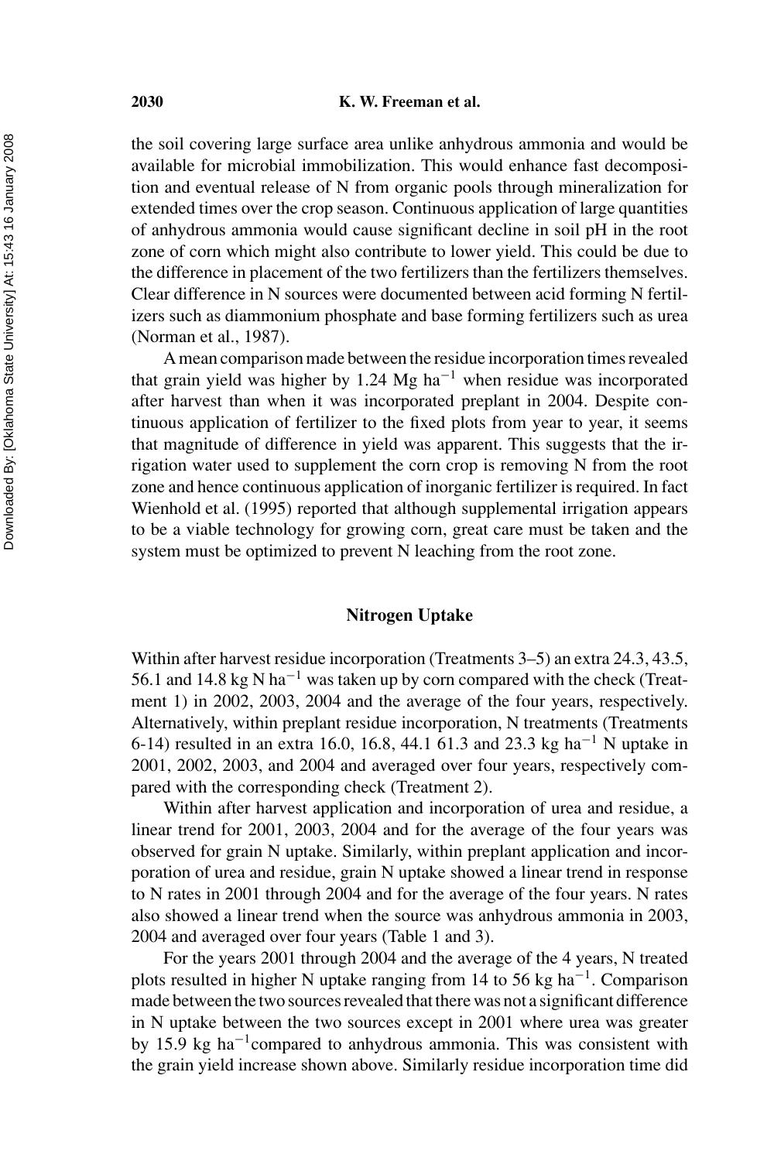#### **2030 K. W. Freeman et al.**

the soil covering large surface area unlike anhydrous ammonia and would be available for microbial immobilization. This would enhance fast decomposition and eventual release of N from organic pools through mineralization for extended times over the crop season. Continuous application of large quantities of anhydrous ammonia would cause significant decline in soil pH in the root zone of corn which might also contribute to lower yield. This could be due to the difference in placement of the two fertilizers than the fertilizers themselves. Clear difference in N sources were documented between acid forming N fertilizers such as diammonium phosphate and base forming fertilizers such as urea (Norman et al., 1987).

Amean comparison made between the residue incorporation times revealed that grain yield was higher by 1.24 Mg ha<sup> $-1$ </sup> when residue was incorporated after harvest than when it was incorporated preplant in 2004. Despite continuous application of fertilizer to the fixed plots from year to year, it seems that magnitude of difference in yield was apparent. This suggests that the irrigation water used to supplement the corn crop is removing N from the root zone and hence continuous application of inorganic fertilizer is required. In fact Wienhold et al. (1995) reported that although supplemental irrigation appears to be a viable technology for growing corn, great care must be taken and the system must be optimized to prevent N leaching from the root zone.

# **Nitrogen Uptake**

Within after harvest residue incorporation (Treatments 3–5) an extra 24.3, 43.5, 56.1 and 14.8 kg N ha−<sup>1</sup> was taken up by corn compared with the check (Treatment 1) in 2002, 2003, 2004 and the average of the four years, respectively. Alternatively, within preplant residue incorporation, N treatments (Treatments 6-14) resulted in an extra 16.0, 16.8, 44.1 61.3 and 23.3 kg ha−<sup>1</sup> N uptake in 2001, 2002, 2003, and 2004 and averaged over four years, respectively compared with the corresponding check (Treatment 2).

Within after harvest application and incorporation of urea and residue, a linear trend for 2001, 2003, 2004 and for the average of the four years was observed for grain N uptake. Similarly, within preplant application and incorporation of urea and residue, grain N uptake showed a linear trend in response to N rates in 2001 through 2004 and for the average of the four years. N rates also showed a linear trend when the source was anhydrous ammonia in 2003, 2004 and averaged over four years (Table 1 and 3).

For the years 2001 through 2004 and the average of the 4 years, N treated plots resulted in higher N uptake ranging from 14 to 56 kg ha−1. Comparison made between the two sources revealed that there was not a significant difference in N uptake between the two sources except in 2001 where urea was greater by 15.9 kg ha<sup>-1</sup>compared to anhydrous ammonia. This was consistent with the grain yield increase shown above. Similarly residue incorporation time did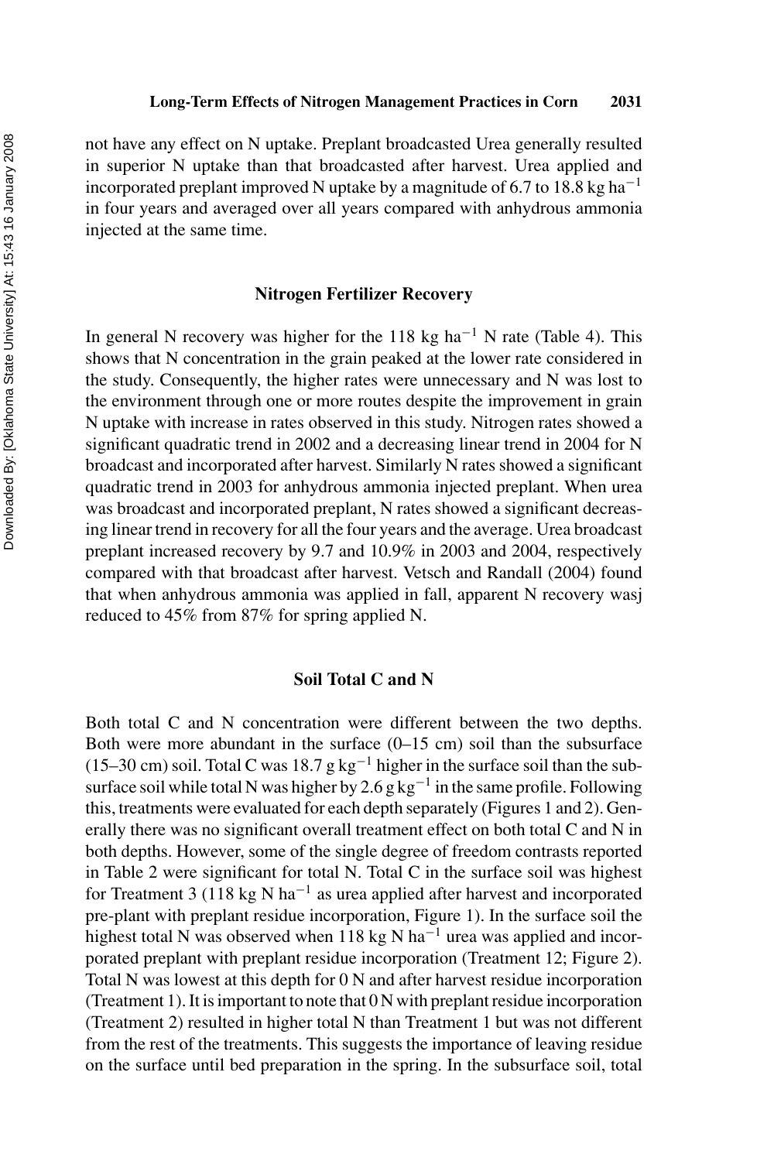not have any effect on N uptake. Preplant broadcasted Urea generally resulted in superior N uptake than that broadcasted after harvest. Urea applied and incorporated preplant improved N uptake by a magnitude of 6.7 to 18.8 kg ha<sup>-1</sup> in four years and averaged over all years compared with anhydrous ammonia injected at the same time.

#### **Nitrogen Fertilizer Recovery**

In general N recovery was higher for the 118 kg ha<sup>-1</sup> N rate (Table 4). This shows that N concentration in the grain peaked at the lower rate considered in the study. Consequently, the higher rates were unnecessary and N was lost to the environment through one or more routes despite the improvement in grain N uptake with increase in rates observed in this study. Nitrogen rates showed a significant quadratic trend in 2002 and a decreasing linear trend in 2004 for N broadcast and incorporated after harvest. Similarly N rates showed a significant quadratic trend in 2003 for anhydrous ammonia injected preplant. When urea was broadcast and incorporated preplant, N rates showed a significant decreasing linear trend in recovery for all the four years and the average. Urea broadcast preplant increased recovery by 9.7 and 10.9% in 2003 and 2004, respectively compared with that broadcast after harvest. Vetsch and Randall (2004) found that when anhydrous ammonia was applied in fall, apparent N recovery wasj reduced to 45% from 87% for spring applied N.

#### **Soil Total C and N**

Both total C and N concentration were different between the two depths. Both were more abundant in the surface  $(0-15 \text{ cm})$  soil than the subsurface (15–30 cm) soil. Total C was 18.7 g kg<sup>-1</sup> higher in the surface soil than the subsurface soil while total N was higher by 2.6 g kg<sup>-1</sup> in the same profile. Following this, treatments were evaluated for each depth separately (Figures 1 and 2). Generally there was no significant overall treatment effect on both total C and N in both depths. However, some of the single degree of freedom contrasts reported in Table 2 were significant for total N. Total C in the surface soil was highest for Treatment 3 (118 kg N ha<sup>-1</sup> as urea applied after harvest and incorporated pre-plant with preplant residue incorporation, Figure 1). In the surface soil the highest total N was observed when 118 kg N ha<sup>-1</sup> urea was applied and incorporated preplant with preplant residue incorporation (Treatment 12; Figure 2). Total N was lowest at this depth for 0 N and after harvest residue incorporation (Treatment 1). It is important to note that  $0 \text{ N}$  with preplant residue incorporation (Treatment 2) resulted in higher total N than Treatment 1 but was not different from the rest of the treatments. This suggests the importance of leaving residue on the surface until bed preparation in the spring. In the subsurface soil, total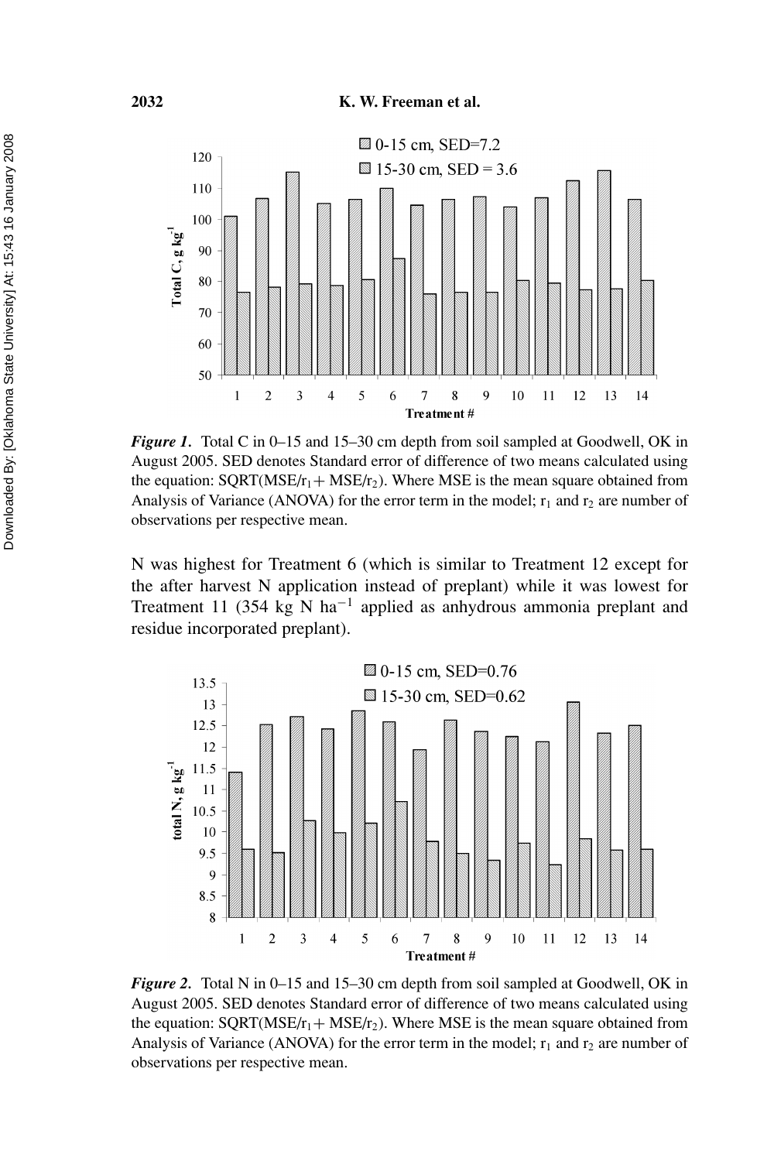

*Figure 1.* Total C in 0–15 and 15–30 cm depth from soil sampled at Goodwell, OK in August 2005. SED denotes Standard error of difference of two means calculated using the equation:  $SQRT(MSE/r_1+MSE/r_2)$ . Where MSE is the mean square obtained from Analysis of Variance (ANOVA) for the error term in the model;  $r_1$  and  $r_2$  are number of observations per respective mean.

N was highest for Treatment 6 (which is similar to Treatment 12 except for the after harvest N application instead of preplant) while it was lowest for Treatment 11 (354 kg N ha−<sup>1</sup> applied as anhydrous ammonia preplant and residue incorporated preplant).



*Figure 2.* Total N in 0–15 and 15–30 cm depth from soil sampled at Goodwell, OK in August 2005. SED denotes Standard error of difference of two means calculated using the equation:  $SQRT(MSE/r_1 + MSE/r_2)$ . Where MSE is the mean square obtained from Analysis of Variance (ANOVA) for the error term in the model;  $r_1$  and  $r_2$  are number of observations per respective mean.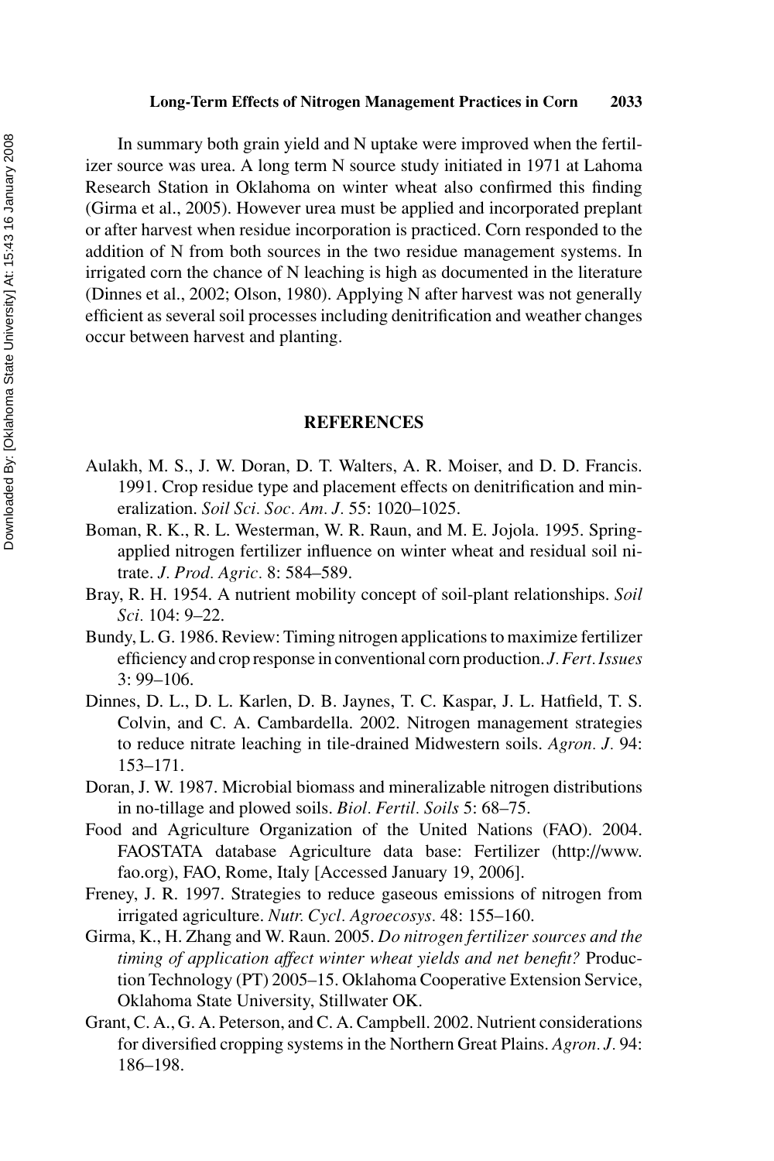#### **Long-Term Effects of Nitrogen Management Practices in Corn 2033**

In summary both grain yield and N uptake were improved when the fertilizer source was urea. A long term N source study initiated in 1971 at Lahoma Research Station in Oklahoma on winter wheat also confirmed this finding (Girma et al., 2005). However urea must be applied and incorporated preplant or after harvest when residue incorporation is practiced. Corn responded to the addition of N from both sources in the two residue management systems. In irrigated corn the chance of N leaching is high as documented in the literature (Dinnes et al., 2002; Olson, 1980). Applying N after harvest was not generally efficient as several soil processes including denitrification and weather changes occur between harvest and planting.

#### **REFERENCES**

- Aulakh, M. S., J. W. Doran, D. T. Walters, A. R. Moiser, and D. D. Francis. 1991. Crop residue type and placement effects on denitrification and mineralization. *Soil Sci. Soc. Am. J.* 55: 1020–1025.
- Boman, R. K., R. L. Westerman, W. R. Raun, and M. E. Jojola. 1995. Springapplied nitrogen fertilizer influence on winter wheat and residual soil nitrate. *J. Prod. Agric.* 8: 584–589.
- Bray, R. H. 1954. A nutrient mobility concept of soil-plant relationships. *Soil Sci.* 104: 9–22.
- Bundy, L. G. 1986. Review: Timing nitrogen applications to maximize fertilizer efficiency and crop response in conventional corn production. *J.Fert. Issues* 3: 99–106.
- Dinnes, D. L., D. L. Karlen, D. B. Jaynes, T. C. Kaspar, J. L. Hatfield, T. S. Colvin, and C. A. Cambardella. 2002. Nitrogen management strategies to reduce nitrate leaching in tile-drained Midwestern soils. *Agron. J.* 94: 153–171.
- Doran, J. W. 1987. Microbial biomass and mineralizable nitrogen distributions in no-tillage and plowed soils. *Biol. Fertil. Soils* 5: 68–75.
- Food and Agriculture Organization of the United Nations (FAO). 2004. FAOSTATA database Agriculture data base: Fertilizer (http://www. fao.org), FAO, Rome, Italy [Accessed January 19, 2006].
- Freney, J. R. 1997. Strategies to reduce gaseous emissions of nitrogen from irrigated agriculture. *Nutr. Cycl. Agroecosys.* 48: 155–160.
- Girma, K., H. Zhang and W. Raun. 2005. *Do nitrogen fertilizer sources and the timing of application affect winter wheat yields and net benefit?* Production Technology (PT) 2005–15. Oklahoma Cooperative Extension Service, Oklahoma State University, Stillwater OK.
- Grant, C. A., G. A. Peterson, and C. A. Campbell. 2002. Nutrient considerations for diversified cropping systems in the Northern Great Plains. *Agron. J.* 94: 186–198.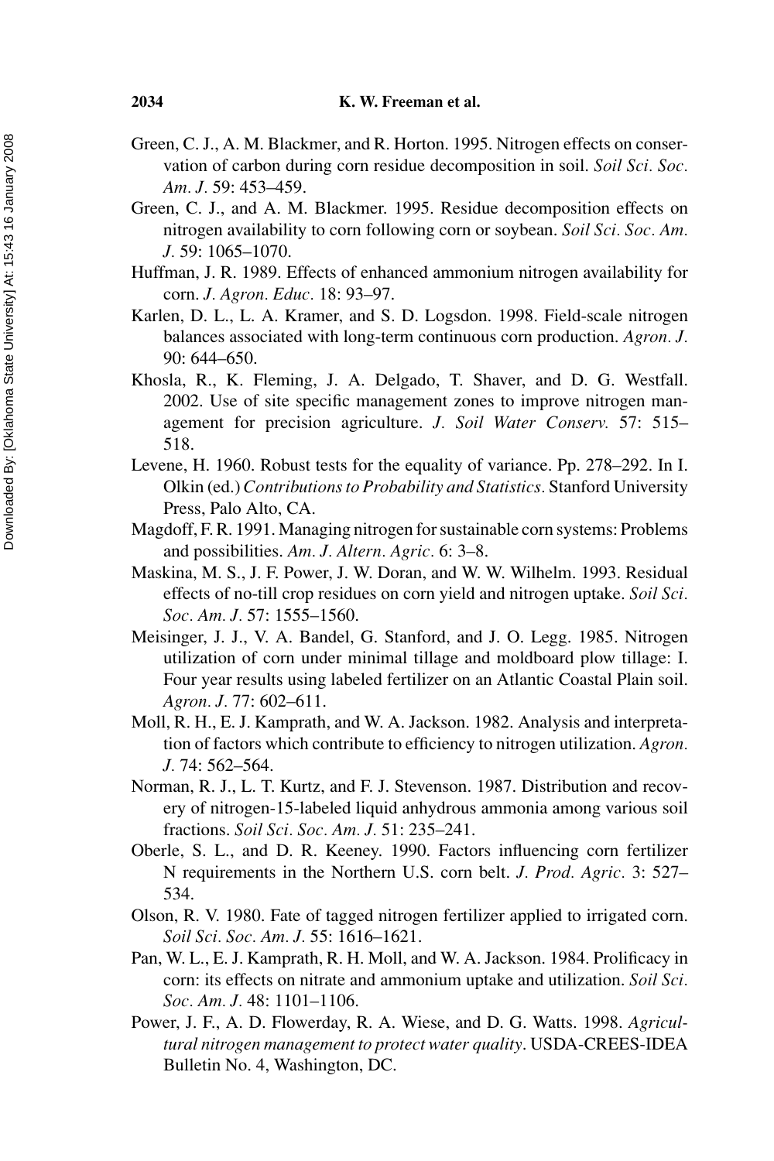- Green, C. J., A. M. Blackmer, and R. Horton. 1995. Nitrogen effects on conservation of carbon during corn residue decomposition in soil. *Soil Sci. Soc. Am. J.* 59: 453–459.
- Green, C. J., and A. M. Blackmer. 1995. Residue decomposition effects on nitrogen availability to corn following corn or soybean. *Soil Sci. Soc. Am. J.* 59: 1065–1070.
- Huffman, J. R. 1989. Effects of enhanced ammonium nitrogen availability for corn. *J. Agron. Educ.* 18: 93–97.
- Karlen, D. L., L. A. Kramer, and S. D. Logsdon. 1998. Field-scale nitrogen balances associated with long-term continuous corn production. *Agron. J.* 90: 644–650.
- Khosla, R., K. Fleming, J. A. Delgado, T. Shaver, and D. G. Westfall. 2002. Use of site specific management zones to improve nitrogen management for precision agriculture. *J. Soil Water Conserv.* 57: 515– 518.
- Levene, H. 1960. Robust tests for the equality of variance. Pp. 278–292. In I. Olkin (ed.) *Contributions to Probability and Statistics.* Stanford University Press, Palo Alto, CA.
- Magdoff, F. R. 1991. Managing nitrogen for sustainable corn systems: Problems and possibilities. *Am. J. Altern. Agric.* 6: 3–8.
- Maskina, M. S., J. F. Power, J. W. Doran, and W. W. Wilhelm. 1993. Residual effects of no-till crop residues on corn yield and nitrogen uptake. *Soil Sci. Soc. Am. J.* 57: 1555–1560.
- Meisinger, J. J., V. A. Bandel, G. Stanford, and J. O. Legg. 1985. Nitrogen utilization of corn under minimal tillage and moldboard plow tillage: I. Four year results using labeled fertilizer on an Atlantic Coastal Plain soil. *Agron. J.* 77: 602–611.
- Moll, R. H., E. J. Kamprath, and W. A. Jackson. 1982. Analysis and interpretation of factors which contribute to efficiency to nitrogen utilization. *Agron. J.* 74: 562–564.
- Norman, R. J., L. T. Kurtz, and F. J. Stevenson. 1987. Distribution and recovery of nitrogen-15-labeled liquid anhydrous ammonia among various soil fractions. *Soil Sci. Soc. Am. J.* 51: 235–241.
- Oberle, S. L., and D. R. Keeney. 1990. Factors influencing corn fertilizer N requirements in the Northern U.S. corn belt. *J. Prod. Agric.* 3: 527– 534.
- Olson, R. V. 1980. Fate of tagged nitrogen fertilizer applied to irrigated corn. *Soil Sci. Soc. Am. J.* 55: 1616–1621.
- Pan, W. L., E. J. Kamprath, R. H. Moll, and W. A. Jackson. 1984. Prolificacy in corn: its effects on nitrate and ammonium uptake and utilization. *Soil Sci. Soc. Am. J.* 48: 1101–1106.
- Power, J. F., A. D. Flowerday, R. A. Wiese, and D. G. Watts. 1998. *Agricultural nitrogen management to protect water quality*. USDA-CREES-IDEA Bulletin No. 4, Washington, DC.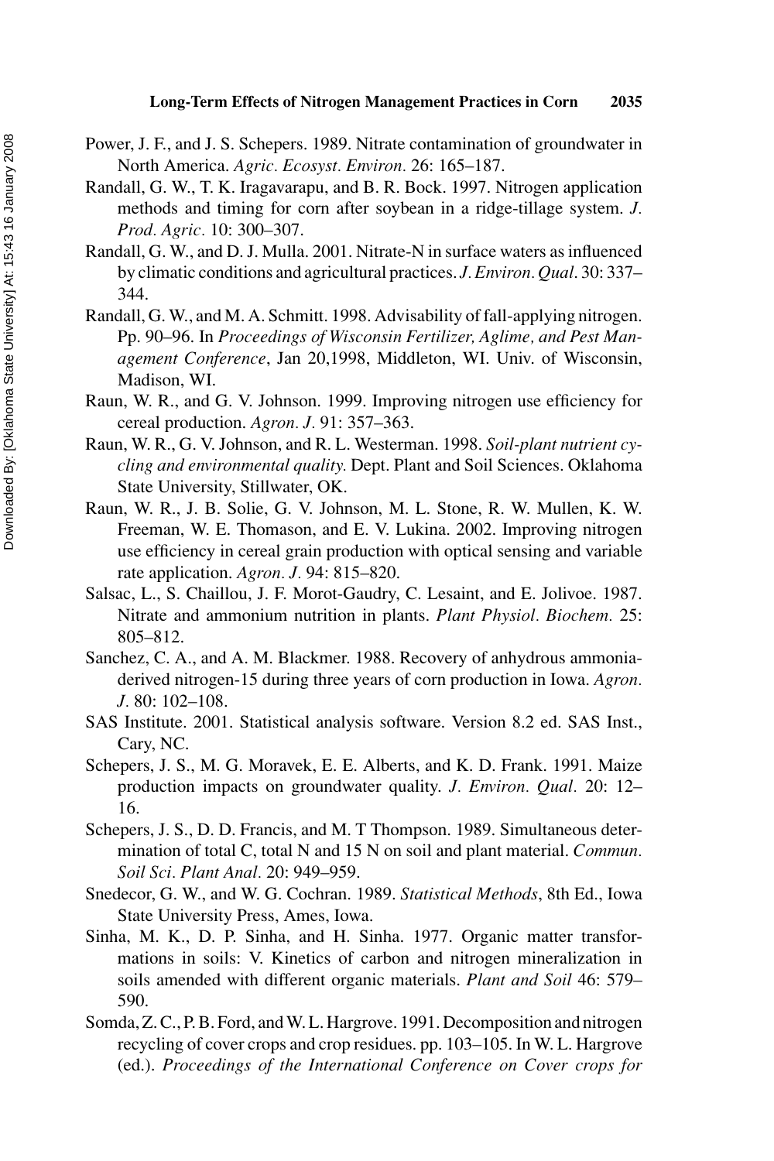- Power, J. F., and J. S. Schepers. 1989. Nitrate contamination of groundwater in North America. *Agric. Ecosyst. Environ.* 26: 165–187.
- Randall, G. W., T. K. Iragavarapu, and B. R. Bock. 1997. Nitrogen application methods and timing for corn after soybean in a ridge-tillage system. *J. Prod. Agric.* 10: 300–307.
- Randall, G. W., and D. J. Mulla. 2001. Nitrate-N in surface waters as influenced by climatic conditions and agricultural practices. *J. Environ. Qual*. 30: 337– 344.
- Randall, G. W., and M. A. Schmitt. 1998. Advisability of fall-applying nitrogen. Pp. 90–96. In *Proceedings of Wisconsin Fertilizer, Aglime, and Pest Management Conference*, Jan 20,1998, Middleton, WI. Univ. of Wisconsin, Madison, WI.
- Raun, W. R., and G. V. Johnson. 1999. Improving nitrogen use efficiency for cereal production. *Agron. J.* 91: 357–363.
- Raun, W. R., G. V. Johnson, and R. L. Westerman. 1998. *Soil-plant nutrient cycling and environmental quality.* Dept. Plant and Soil Sciences. Oklahoma State University, Stillwater, OK.
- Raun, W. R., J. B. Solie, G. V. Johnson, M. L. Stone, R. W. Mullen, K. W. Freeman, W. E. Thomason, and E. V. Lukina. 2002. Improving nitrogen use efficiency in cereal grain production with optical sensing and variable rate application. *Agron. J.* 94: 815–820.
- Salsac, L., S. Chaillou, J. F. Morot-Gaudry, C. Lesaint, and E. Jolivoe. 1987. Nitrate and ammonium nutrition in plants. *Plant Physiol. Biochem.* 25: 805–812.
- Sanchez, C. A., and A. M. Blackmer. 1988. Recovery of anhydrous ammoniaderived nitrogen-15 during three years of corn production in Iowa. *Agron. J.* 80: 102–108.
- SAS Institute. 2001. Statistical analysis software. Version 8.2 ed. SAS Inst., Cary, NC.
- Schepers, J. S., M. G. Moravek, E. E. Alberts, and K. D. Frank. 1991. Maize production impacts on groundwater quality. *J. Environ. Qual.* 20: 12– 16.
- Schepers, J. S., D. D. Francis, and M. T Thompson. 1989. Simultaneous determination of total C, total N and 15 N on soil and plant material. *Commun. Soil Sci. Plant Anal.* 20: 949–959.
- Snedecor, G. W., and W. G. Cochran. 1989. *Statistical Methods*, 8th Ed., Iowa State University Press, Ames, Iowa.
- Sinha, M. K., D. P. Sinha, and H. Sinha. 1977. Organic matter transformations in soils: V. Kinetics of carbon and nitrogen mineralization in soils amended with different organic materials. *Plant and Soil* 46: 579– 590.
- Somda, Z. C., P. B. Ford, and W. L. Hargrove. 1991. Decomposition and nitrogen recycling of cover crops and crop residues. pp. 103–105. In W. L. Hargrove (ed.). *Proceedings of the International Conference on Cover crops for*